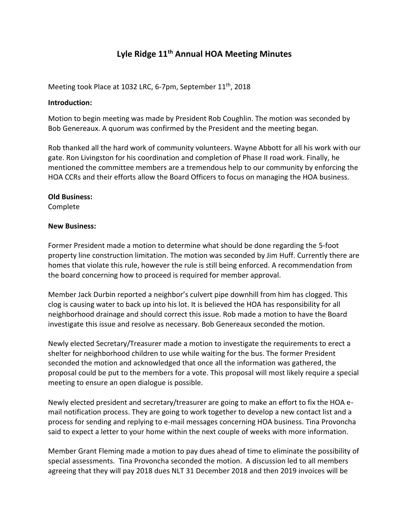# **Lyle Ridge 11th Annual HOA Meeting Minutes**

Meeting took Place at 1032 LRC, 6-7pm, September 11<sup>th</sup>, 2018

## **Introduction:**

Motion to begin meeting was made by President Rob Coughlin. The motion was seconded by Bob Genereaux. A quorum was confirmed by the President and the meeting began.

Rob thanked all the hard work of community volunteers. Wayne Abbott for all his work with our gate. Ron Livingston for his coordination and completion of Phase II road work. Finally, he mentioned the committee members are a tremendous help to our community by enforcing the HOA CCRs and their efforts allow the Board Officers to focus on managing the HOA business.

### **Old Business:**

Complete

## **New Business:**

Former President made a motion to determine what should be done regarding the 5-foot property line construction limitation. The motion was seconded by Jim Huff. Currently there are homes that violate this rule, however the rule is still being enforced. A recommendation from the board concerning how to proceed is required for member approval.

Member Jack Durbin reported a neighbor's culvert pipe downhill from him has clogged. This clog is causing water to back up into his lot. It is believed the HOA has responsibility for all neighborhood drainage and should correct this issue. Rob made a motion to have the Board investigate this issue and resolve as necessary. Bob Genereaux seconded the motion.

Newly elected Secretary/Treasurer made a motion to investigate the requirements to erect a shelter for neighborhood children to use while waiting for the bus. The former President seconded the motion and acknowledged that once all the information was gathered, the proposal could be put to the members for a vote. This proposal will most likely require a special meeting to ensure an open dialogue is possible.

Newly elected president and secretary/treasurer are going to make an effort to fix the HOA email notification process. They are going to work together to develop a new contact list and a process for sending and replying to e-mail messages concerning HOA business. Tina Provoncha said to expect a letter to your home within the next couple of weeks with more information.

Member Grant Fleming made a motion to pay dues ahead of time to eliminate the possibility of special assessments. Tina Provoncha seconded the motion. A discussion led to all members agreeing that they will pay 2018 dues NLT 31 December 2018 and then 2019 invoices will be